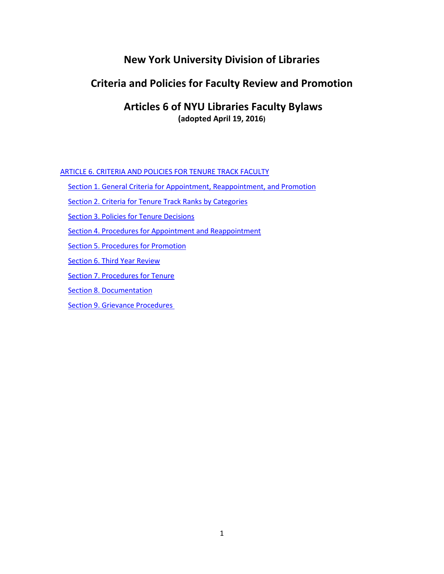# **New York University Division of Libraries**

## **Criteria and Policies for Faculty Review and Promotion**

## **Articles 6 of NYU Libraries Faculty Bylaws (adopted April 19, 2016)**

[ARTICLE 6. CRITERIA AND POLICIES FOR TENURE TRACK FACULTY](#page-1-0)

[Section 1. General Criteria for Appointment, Reappointment, and Promotion](#page-1-1)

[Section 2. Criteria for Tenure Track Ranks by Categories](#page-2-0)

[Section 3. Policies for Tenure Decisions](#page-4-0)

[Section 4. Procedures for Appointment and Reappointment](#page-5-0)

[Section 5. Procedures for Promotion](#page-5-1)

[Section 6. Third Year Review](#page-6-0)

[Section 7. Procedures for Tenure](#page-7-0)

[Section 8. Documentation](#page-8-0)

Section 9. Grievance Procedures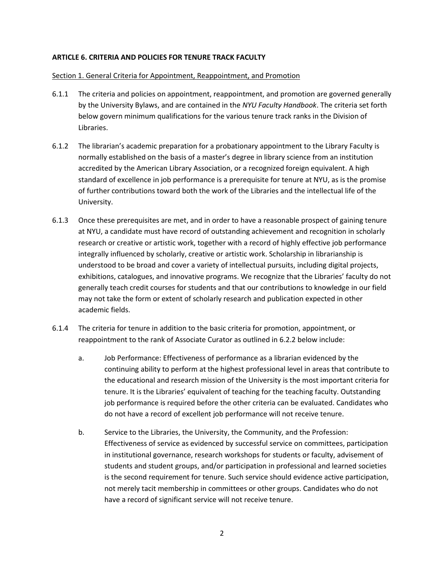#### <span id="page-1-0"></span>**ARTICLE 6. CRITERIA AND POLICIES FOR TENURE TRACK FACULTY**

#### <span id="page-1-1"></span>Section 1. General Criteria for Appointment, Reappointment, and Promotion

- 6.1.1 The criteria and policies on appointment, reappointment, and promotion are governed generally by the University Bylaws, and are contained in the *NYU Faculty Handbook*. The criteria set forth below govern minimum qualifications for the various tenure track ranks in the Division of Libraries.
- 6.1.2 The librarian's academic preparation for a probationary appointment to the Library Faculty is normally established on the basis of a master's degree in library science from an institution accredited by the American Library Association, or a recognized foreign equivalent. A high standard of excellence in job performance is a prerequisite for tenure at NYU, as is the promise of further contributions toward both the work of the Libraries and the intellectual life of the University.
- 6.1.3 Once these prerequisites are met, and in order to have a reasonable prospect of gaining tenure at NYU, a candidate must have record of outstanding achievement and recognition in scholarly research or creative or artistic work, together with a record of highly effective job performance integrally influenced by scholarly, creative or artistic work. Scholarship in librarianship is understood to be broad and cover a variety of intellectual pursuits, including digital projects, exhibitions, catalogues, and innovative programs. We recognize that the Libraries' faculty do not generally teach credit courses for students and that our contributions to knowledge in our field may not take the form or extent of scholarly research and publication expected in other academic fields.
- 6.1.4 The criteria for tenure in addition to the basic criteria for promotion, appointment, or reappointment to the rank of Associate Curator as outlined in 6.2.2 below include:
	- a. Job Performance: Effectiveness of performance as a librarian evidenced by the continuing ability to perform at the highest professional level in areas that contribute to the educational and research mission of the University is the most important criteria for tenure. It is the Libraries' equivalent of teaching for the teaching faculty. Outstanding job performance is required before the other criteria can be evaluated. Candidates who do not have a record of excellent job performance will not receive tenure.
	- b. Service to the Libraries, the University, the Community, and the Profession: Effectiveness of service as evidenced by successful service on committees, participation in institutional governance, research workshops for students or faculty, advisement of students and student groups, and/or participation in professional and learned societies is the second requirement for tenure. Such service should evidence active participation, not merely tacit membership in committees or other groups. Candidates who do not have a record of significant service will not receive tenure.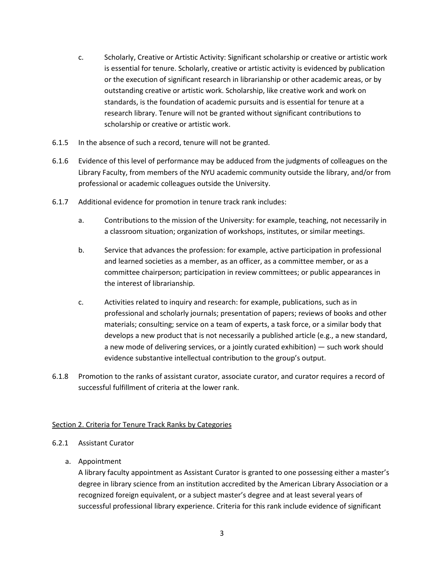- c. Scholarly, Creative or Artistic Activity: Significant scholarship or creative or artistic work is essential for tenure. Scholarly, creative or artistic activity is evidenced by publication or the execution of significant research in librarianship or other academic areas, or by outstanding creative or artistic work. Scholarship, like creative work and work on standards, is the foundation of academic pursuits and is essential for tenure at a research library. Tenure will not be granted without significant contributions to scholarship or creative or artistic work.
- 6.1.5 In the absence of such a record, tenure will not be granted.
- 6.1.6 Evidence of this level of performance may be adduced from the judgments of colleagues on the Library Faculty, from members of the NYU academic community outside the library, and/or from professional or academic colleagues outside the University.
- 6.1.7 Additional evidence for promotion in tenure track rank includes:
	- a. Contributions to the mission of the University: for example, teaching, not necessarily in a classroom situation; organization of workshops, institutes, or similar meetings.
	- b. Service that advances the profession: for example, active participation in professional and learned societies as a member, as an officer, as a committee member, or as a committee chairperson; participation in review committees; or public appearances in the interest of librarianship.
	- c. Activities related to inquiry and research: for example, publications, such as in professional and scholarly journals; presentation of papers; reviews of books and other materials; consulting; service on a team of experts, a task force, or a similar body that develops a new product that is not necessarily a published article (e.g., a new standard, a new mode of delivering services, or a jointly curated exhibition) — such work should evidence substantive intellectual contribution to the group's output.
- 6.1.8 Promotion to the ranks of assistant curator, associate curator, and curator requires a record of successful fulfillment of criteria at the lower rank.

## <span id="page-2-0"></span>Section 2. Criteria for Tenure Track Ranks by Categories

- 6.2.1 Assistant Curator
	- a. Appointment

A library faculty appointment as Assistant Curator is granted to one possessing either a master's degree in library science from an institution accredited by the American Library Association or a recognized foreign equivalent, or a subject master's degree and at least several years of successful professional library experience. Criteria for this rank include evidence of significant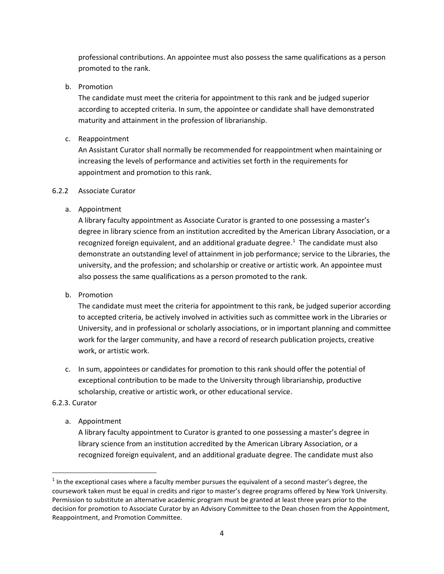professional contributions. An appointee must also possess the same qualifications as a person promoted to the rank.

b. Promotion

The candidate must meet the criteria for appointment to this rank and be judged superior according to accepted criteria. In sum, the appointee or candidate shall have demonstrated maturity and attainment in the profession of librarianship.

c. Reappointment

An Assistant Curator shall normally be recommended for reappointment when maintaining or increasing the levels of performance and activities set forth in the requirements for appointment and promotion to this rank.

## 6.2.2 Associate Curator

## a. Appointment

A library faculty appointment as Associate Curator is granted to one possessing a master's degree in library science from an institution accredited by the American Library Association, or a recognized foreign equivalent, and an additional graduate degree.<sup>[1](#page-3-0)</sup> The candidate must also demonstrate an outstanding level of attainment in job performance; service to the Libraries, the university, and the profession; and scholarship or creative or artistic work. An appointee must also possess the same qualifications as a person promoted to the rank.

## b. Promotion

The candidate must meet the criteria for appointment to this rank, be judged superior according to accepted criteria, be actively involved in activities such as committee work in the Libraries or University, and in professional or scholarly associations, or in important planning and committee work for the larger community, and have a record of research publication projects, creative work, or artistic work.

c. In sum, appointees or candidates for promotion to this rank should offer the potential of exceptional contribution to be made to the University through librarianship, productive scholarship, creative or artistic work, or other educational service.

## 6.2.3. Curator

a. Appointment

A library faculty appointment to Curator is granted to one possessing a master's degree in library science from an institution accredited by the American Library Association, or a recognized foreign equivalent, and an additional graduate degree. The candidate must also

<span id="page-3-0"></span> $1$  In the exceptional cases where a faculty member pursues the equivalent of a second master's degree, the coursework taken must be equal in credits and rigor to master's degree programs offered by New York University. Permission to substitute an alternative academic program must be granted at least three years prior to the decision for promotion to Associate Curator by an Advisory Committee to the Dean chosen from the Appointment, Reappointment, and Promotion Committee.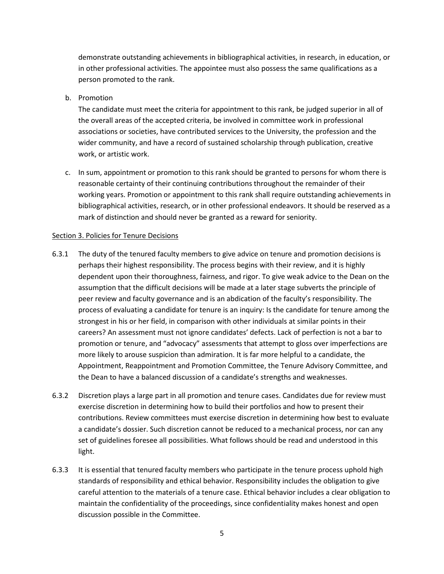demonstrate outstanding achievements in bibliographical activities, in research, in education, or in other professional activities. The appointee must also possess the same qualifications as a person promoted to the rank.

b. Promotion

The candidate must meet the criteria for appointment to this rank, be judged superior in all of the overall areas of the accepted criteria, be involved in committee work in professional associations or societies, have contributed services to the University, the profession and the wider community, and have a record of sustained scholarship through publication, creative work, or artistic work.

c. In sum, appointment or promotion to this rank should be granted to persons for whom there is reasonable certainty of their continuing contributions throughout the remainder of their working years. Promotion or appointment to this rank shall require outstanding achievements in bibliographical activities, research, or in other professional endeavors. It should be reserved as a mark of distinction and should never be granted as a reward for seniority.

#### <span id="page-4-0"></span>Section 3. Policies for Tenure Decisions

- 6.3.1 The duty of the tenured faculty members to give advice on tenure and promotion decisions is perhaps their highest responsibility. The process begins with their review, and it is highly dependent upon their thoroughness, fairness, and rigor. To give weak advice to the Dean on the assumption that the difficult decisions will be made at a later stage subverts the principle of peer review and faculty governance and is an abdication of the faculty's responsibility. The process of evaluating a candidate for tenure is an inquiry: Is the candidate for tenure among the strongest in his or her field, in comparison with other individuals at similar points in their careers? An assessment must not ignore candidates' defects. Lack of perfection is not a bar to promotion or tenure, and "advocacy" assessments that attempt to gloss over imperfections are more likely to arouse suspicion than admiration. It is far more helpful to a candidate, the Appointment, Reappointment and Promotion Committee, the Tenure Advisory Committee, and the Dean to have a balanced discussion of a candidate's strengths and weaknesses.
- 6.3.2 Discretion plays a large part in all promotion and tenure cases. Candidates due for review must exercise discretion in determining how to build their portfolios and how to present their contributions. Review committees must exercise discretion in determining how best to evaluate a candidate's dossier. Such discretion cannot be reduced to a mechanical process, nor can any set of guidelines foresee all possibilities. What follows should be read and understood in this light.
- 6.3.3 It is essential that tenured faculty members who participate in the tenure process uphold high standards of responsibility and ethical behavior. Responsibility includes the obligation to give careful attention to the materials of a tenure case. Ethical behavior includes a clear obligation to maintain the confidentiality of the proceedings, since confidentiality makes honest and open discussion possible in the Committee.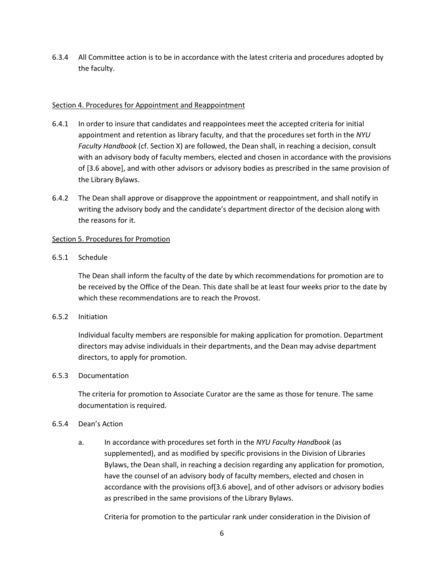6.3.4 All Committee action is to be in accordance with the latest criteria and procedures adopted by the faculty.

#### <span id="page-5-0"></span>Section 4. Procedures for Appointment and Reappointment

- 6.4.1 In order to insure that candidates and reappointees meet the accepted criteria for initial appointment and retention as library faculty, and that the procedures set forth in the *NYU Faculty Handbook* (cf. Section X) are followed, the Dean shall, in reaching a decision, consult with an advisory body of faculty members, elected and chosen in accordance with the provisions of [3.6 above], and with other advisors or advisory bodies as prescribed in the same provision of the Library Bylaws.
- 6.4.2 The Dean shall approve or disapprove the appointment or reappointment, and shall notify in writing the advisory body and the candidate's department director of the decision along with the reasons for it.

#### <span id="page-5-1"></span>Section 5. Procedures for Promotion

#### 6.5.1 Schedule

The Dean shall inform the faculty of the date by which recommendations for promotion are to be received by the Office of the Dean. This date shall be at least four weeks prior to the date by which these recommendations are to reach the Provost.

#### 6.5.2 Initiation

Individual faculty members are responsible for making application for promotion. Department directors may advise individuals in their departments, and the Dean may advise department directors, to apply for promotion.

#### 6.5.3 Documentation

The criteria for promotion to Associate Curator are the same as those for tenure. The same documentation is required.

#### 6.5.4 Dean's Action

a. In accordance with procedures set forth in the *NYU Faculty Handbook* (as supplemented), and as modified by specific provisions in the Division of Libraries Bylaws, the Dean shall, in reaching a decision regarding any application for promotion, have the counsel of an advisory body of faculty members, elected and chosen in accordance with the provisions of[3.6 above], and of other advisors or advisory bodies as prescribed in the same provisions of the Library Bylaws.

Criteria for promotion to the particular rank under consideration in the Division of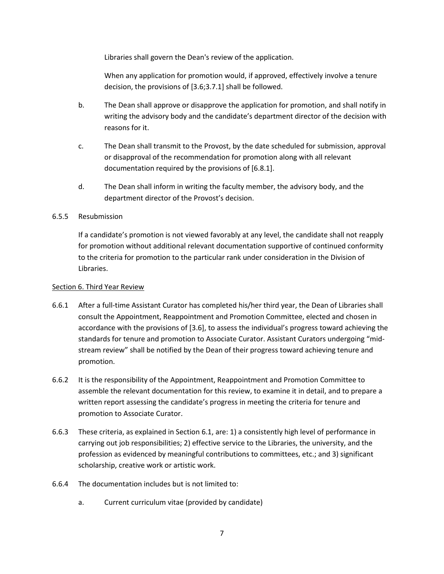Libraries shall govern the Dean's review of the application.

When any application for promotion would, if approved, effectively involve a tenure decision, the provisions of [3.6;3.7.1] shall be followed.

- b. The Dean shall approve or disapprove the application for promotion, and shall notify in writing the advisory body and the candidate's department director of the decision with reasons for it.
- c. The Dean shall transmit to the Provost, by the date scheduled for submission, approval or disapproval of the recommendation for promotion along with all relevant documentation required by the provisions of [6.8.1].
- d. The Dean shall inform in writing the faculty member, the advisory body, and the department director of the Provost's decision.

## 6.5.5 Resubmission

If a candidate's promotion is not viewed favorably at any level, the candidate shall not reapply for promotion without additional relevant documentation supportive of continued conformity to the criteria for promotion to the particular rank under consideration in the Division of Libraries.

#### <span id="page-6-0"></span>Section 6. Third Year Review

- 6.6.1 After a full-time Assistant Curator has completed his/her third year, the Dean of Libraries shall consult the Appointment, Reappointment and Promotion Committee, elected and chosen in accordance with the provisions of [3.6], to assess the individual's progress toward achieving the standards for tenure and promotion to Associate Curator. Assistant Curators undergoing "midstream review" shall be notified by the Dean of their progress toward achieving tenure and promotion.
- 6.6.2 It is the responsibility of the Appointment, Reappointment and Promotion Committee to assemble the relevant documentation for this review, to examine it in detail, and to prepare a written report assessing the candidate's progress in meeting the criteria for tenure and promotion to Associate Curator.
- 6.6.3 These criteria, as explained in Section 6.1, are: 1) a consistently high level of performance in carrying out job responsibilities; 2) effective service to the Libraries, the university, and the profession as evidenced by meaningful contributions to committees, etc.; and 3) significant scholarship, creative work or artistic work.
- 6.6.4 The documentation includes but is not limited to:
	- a. Current curriculum vitae (provided by candidate)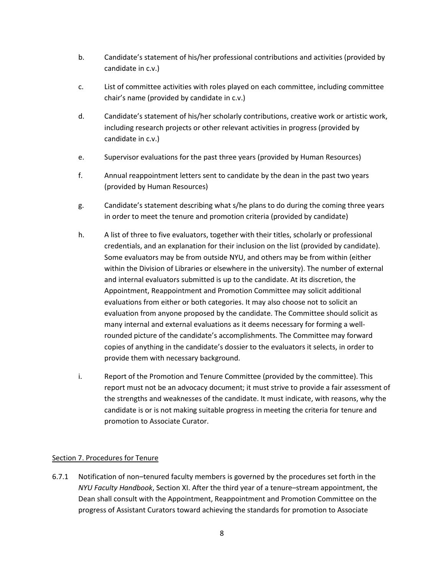- b. Candidate's statement of his/her professional contributions and activities (provided by candidate in c.v.)
- c. List of committee activities with roles played on each committee, including committee chair's name (provided by candidate in c.v.)
- d. Candidate's statement of his/her scholarly contributions, creative work or artistic work, including research projects or other relevant activities in progress (provided by candidate in c.v.)
- e. Supervisor evaluations for the past three years (provided by Human Resources)
- f. Annual reappointment letters sent to candidate by the dean in the past two years (provided by Human Resources)
- g. Candidate's statement describing what s/he plans to do during the coming three years in order to meet the tenure and promotion criteria (provided by candidate)
- h. A list of three to five evaluators, together with their titles, scholarly or professional credentials, and an explanation for their inclusion on the list (provided by candidate). Some evaluators may be from outside NYU, and others may be from within (either within the Division of Libraries or elsewhere in the university). The number of external and internal evaluators submitted is up to the candidate. At its discretion, the Appointment, Reappointment and Promotion Committee may solicit additional evaluations from either or both categories. It may also choose not to solicit an evaluation from anyone proposed by the candidate. The Committee should solicit as many internal and external evaluations as it deems necessary for forming a wellrounded picture of the candidate's accomplishments. The Committee may forward copies of anything in the candidate's dossier to the evaluators it selects, in order to provide them with necessary background.
- i. Report of the Promotion and Tenure Committee (provided by the committee). This report must not be an advocacy document; it must strive to provide a fair assessment of the strengths and weaknesses of the candidate. It must indicate, with reasons, why the candidate is or is not making suitable progress in meeting the criteria for tenure and promotion to Associate Curator.

## <span id="page-7-0"></span>Section 7. Procedures for Tenure

6.7.1 Notification of non–tenured faculty members is governed by the procedures set forth in the *NYU Faculty Handbook*, Section XI. After the third year of a tenure–stream appointment, the Dean shall consult with the Appointment, Reappointment and Promotion Committee on the progress of Assistant Curators toward achieving the standards for promotion to Associate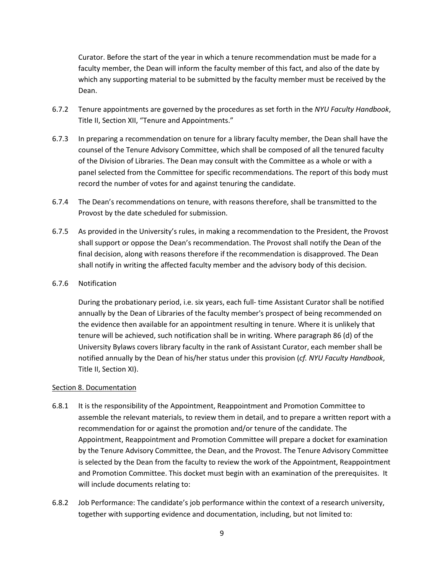Curator. Before the start of the year in which a tenure recommendation must be made for a faculty member, the Dean will inform the faculty member of this fact, and also of the date by which any supporting material to be submitted by the faculty member must be received by the Dean.

- 6.7.2 Tenure appointments are governed by the procedures as set forth in the *NYU Faculty Handbook*, Title II, Section XII, "Tenure and Appointments."
- 6.7.3 In preparing a recommendation on tenure for a library faculty member, the Dean shall have the counsel of the Tenure Advisory Committee, which shall be composed of all the tenured faculty of the Division of Libraries. The Dean may consult with the Committee as a whole or with a panel selected from the Committee for specific recommendations. The report of this body must record the number of votes for and against tenuring the candidate.
- 6.7.4 The Dean's recommendations on tenure, with reasons therefore, shall be transmitted to the Provost by the date scheduled for submission.
- 6.7.5 As provided in the University's rules, in making a recommendation to the President, the Provost shall support or oppose the Dean's recommendation. The Provost shall notify the Dean of the final decision, along with reasons therefore if the recommendation is disapproved. The Dean shall notify in writing the affected faculty member and the advisory body of this decision.
- 6.7.6 Notification

During the probationary period, i.e. six years, each full- time Assistant Curator shall be notified annually by the Dean of Libraries of the faculty member's prospect of being recommended on the evidence then available for an appointment resulting in tenure. Where it is unlikely that tenure will be achieved, such notification shall be in writing. Where paragraph 86 (d) of the University Bylaws covers library faculty in the rank of Assistant Curator, each member shall be notified annually by the Dean of his/her status under this provision (*cf. NYU Faculty Handbook*, Title II, Section XI).

#### <span id="page-8-0"></span>Section 8. Documentation

- 6.8.1 It is the responsibility of the Appointment, Reappointment and Promotion Committee to assemble the relevant materials, to review them in detail, and to prepare a written report with a recommendation for or against the promotion and/or tenure of the candidate. The Appointment, Reappointment and Promotion Committee will prepare a docket for examination by the Tenure Advisory Committee, the Dean, and the Provost. The Tenure Advisory Committee is selected by the Dean from the faculty to review the work of the Appointment, Reappointment and Promotion Committee. This docket must begin with an examination of the prerequisites. It will include documents relating to:
- 6.8.2 Job Performance: The candidate's job performance within the context of a research university, together with supporting evidence and documentation, including, but not limited to: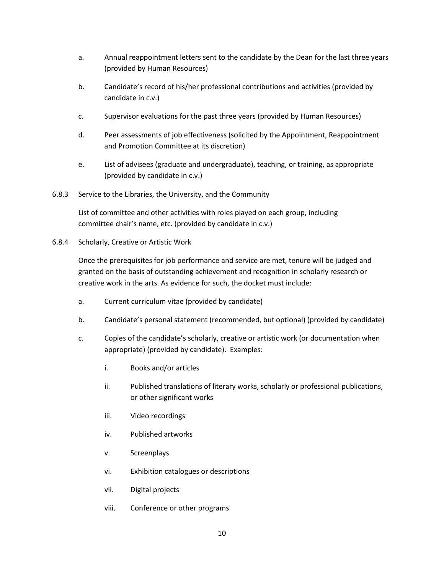- a. Annual reappointment letters sent to the candidate by the Dean for the last three years (provided by Human Resources)
- b. Candidate's record of his/her professional contributions and activities (provided by candidate in c.v.)
- c. Supervisor evaluations for the past three years (provided by Human Resources)
- d. Peer assessments of job effectiveness (solicited by the Appointment, Reappointment and Promotion Committee at its discretion)
- e. List of advisees (graduate and undergraduate), teaching, or training, as appropriate (provided by candidate in c.v.)
- 6.8.3 Service to the Libraries, the University, and the Community

List of committee and other activities with roles played on each group, including committee chair's name, etc. (provided by candidate in c.v.)

6.8.4 Scholarly, Creative or Artistic Work

Once the prerequisites for job performance and service are met, tenure will be judged and granted on the basis of outstanding achievement and recognition in scholarly research or creative work in the arts. As evidence for such, the docket must include:

- a. Current curriculum vitae (provided by candidate)
- b. Candidate's personal statement (recommended, but optional) (provided by candidate)
- c. Copies of the candidate's scholarly, creative or artistic work (or documentation when appropriate) (provided by candidate). Examples:
	- i. Books and/or articles
	- ii. Published translations of literary works, scholarly or professional publications, or other significant works
	- iii. Video recordings
	- iv. Published artworks
	- v. Screenplays
	- vi. Exhibition catalogues or descriptions
	- vii. Digital projects
	- viii. Conference or other programs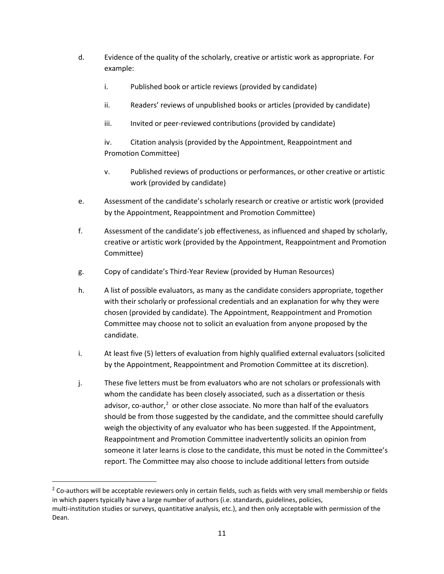- d. Evidence of the quality of the scholarly, creative or artistic work as appropriate. For example:
	- i. Published book or article reviews (provided by candidate)
	- ii. Readers' reviews of unpublished books or articles (provided by candidate)
	- iii. Invited or peer-reviewed contributions (provided by candidate)

iv. Citation analysis (provided by the Appointment, Reappointment and Promotion Committee)

- v. Published reviews of productions or performances, or other creative or artistic work (provided by candidate)
- e. Assessment of the candidate's scholarly research or creative or artistic work (provided by the Appointment, Reappointment and Promotion Committee)
- f. Assessment of the candidate's job effectiveness, as influenced and shaped by scholarly, creative or artistic work (provided by the Appointment, Reappointment and Promotion Committee)
- g. Copy of candidate's Third-Year Review (provided by Human Resources)
- h. A list of possible evaluators, as many as the candidate considers appropriate, together with their scholarly or professional credentials and an explanation for why they were chosen (provided by candidate). The Appointment, Reappointment and Promotion Committee may choose not to solicit an evaluation from anyone proposed by the candidate.
- i. At least five (5) letters of evaluation from highly qualified external evaluators (solicited by the Appointment, Reappointment and Promotion Committee at its discretion).
- j. These five letters must be from evaluators who are not scholars or professionals with whom the candidate has been closely associated, such as a dissertation or thesis advisor, co-author, $2$  or other close associate. No more than half of the evaluators should be from those suggested by the candidate, and the committee should carefully weigh the objectivity of any evaluator who has been suggested. If the Appointment, Reappointment and Promotion Committee inadvertently solicits an opinion from someone it later learns is close to the candidate, this must be noted in the Committee's report. The Committee may also choose to include additional letters from outside

<span id="page-10-0"></span> $2$  Co-authors will be acceptable reviewers only in certain fields, such as fields with very small membership or fields in which papers typically have a large number of authors (i.e. standards, guidelines, policies, multi-institution studies or surveys, quantitative analysis, etc.), and then only acceptable with permission of the Dean.